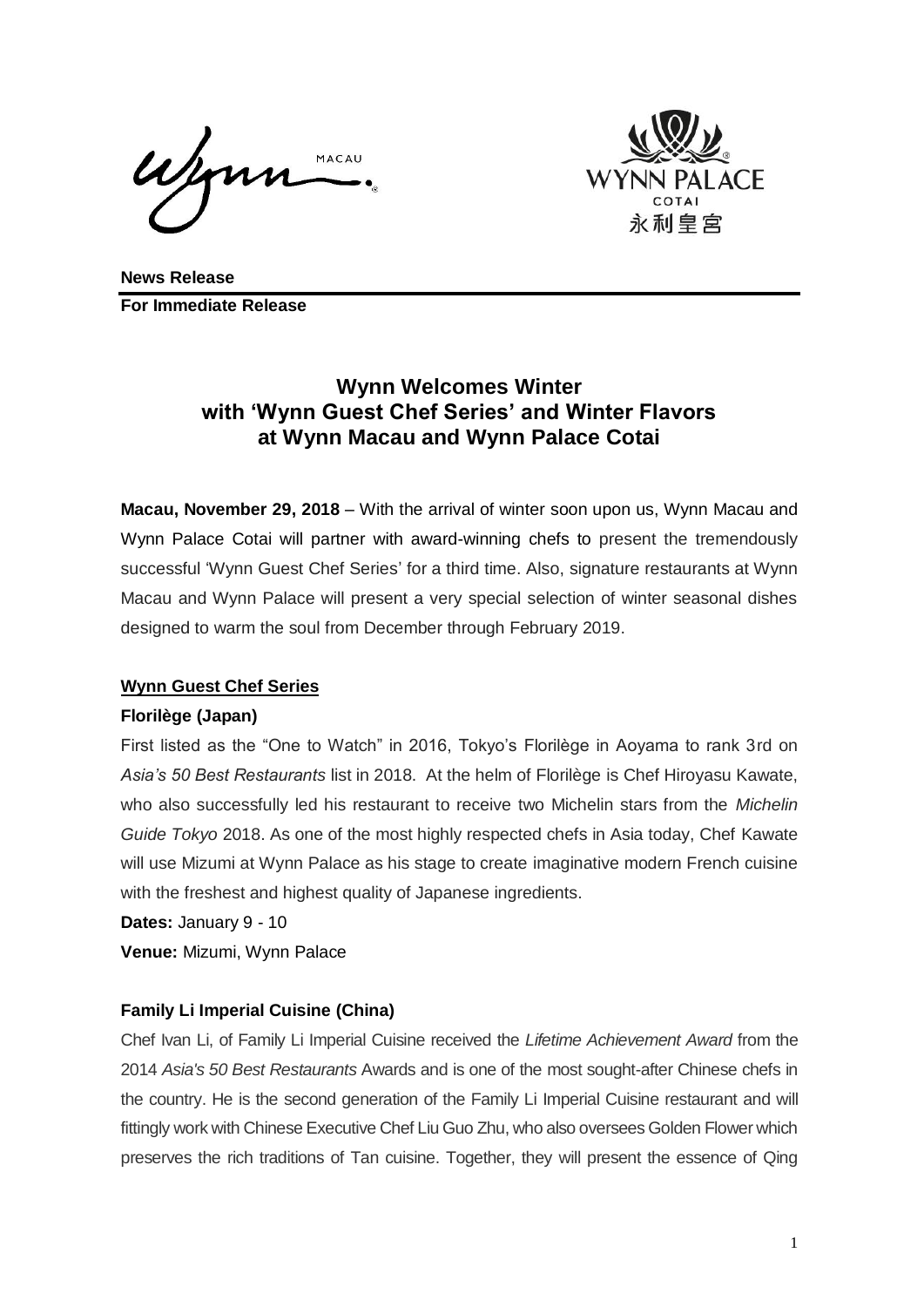MACAU



**News Release For Immediate Release**

# **Wynn Welcomes Winter with 'Wynn Guest Chef Series' and Winter Flavors at Wynn Macau and Wynn Palace Cotai**

**Macau, November 29, 2018** – With the arrival of winter soon upon us, Wynn Macau and Wynn Palace Cotai will partner with award-winning chefs to present the tremendously successful 'Wynn Guest Chef Series' for a third time. Also, signature restaurants at Wynn Macau and Wynn Palace will present a very special selection of winter seasonal dishes designed to warm the soul from December through February 2019.

# **Wynn Guest Chef Series**

## **Florilège (Japan)**

First listed as the "One to Watch" in 2016, Tokyo's Florilège in Aoyama to rank 3rd on *Asia's 50 Best Restaurants* list in 2018. At the helm of Florilège is Chef Hiroyasu Kawate, who also successfully led his restaurant to receive two Michelin stars from the *Michelin Guide Tokyo* 2018. As one of the most highly respected chefs in Asia today, Chef Kawate will use Mizumi at Wynn Palace as his stage to create imaginative modern French cuisine with the freshest and highest quality of Japanese ingredients.

**Dates:** January 9 - 10

**Venue:** Mizumi, Wynn Palace

# **Family Li Imperial Cuisine (China)**

Chef Ivan Li, of Family Li Imperial Cuisine received the *Lifetime Achievement Award* from the 2014 *Asia's 50 Best Restaurants* Awards and is one of the most sought-after Chinese chefs in the country. He is the second generation of the Family Li Imperial Cuisine restaurant and will fittingly work with Chinese Executive Chef Liu Guo Zhu, who also oversees Golden Flower which preserves the rich traditions of Tan cuisine. Together, they will present the essence of Qing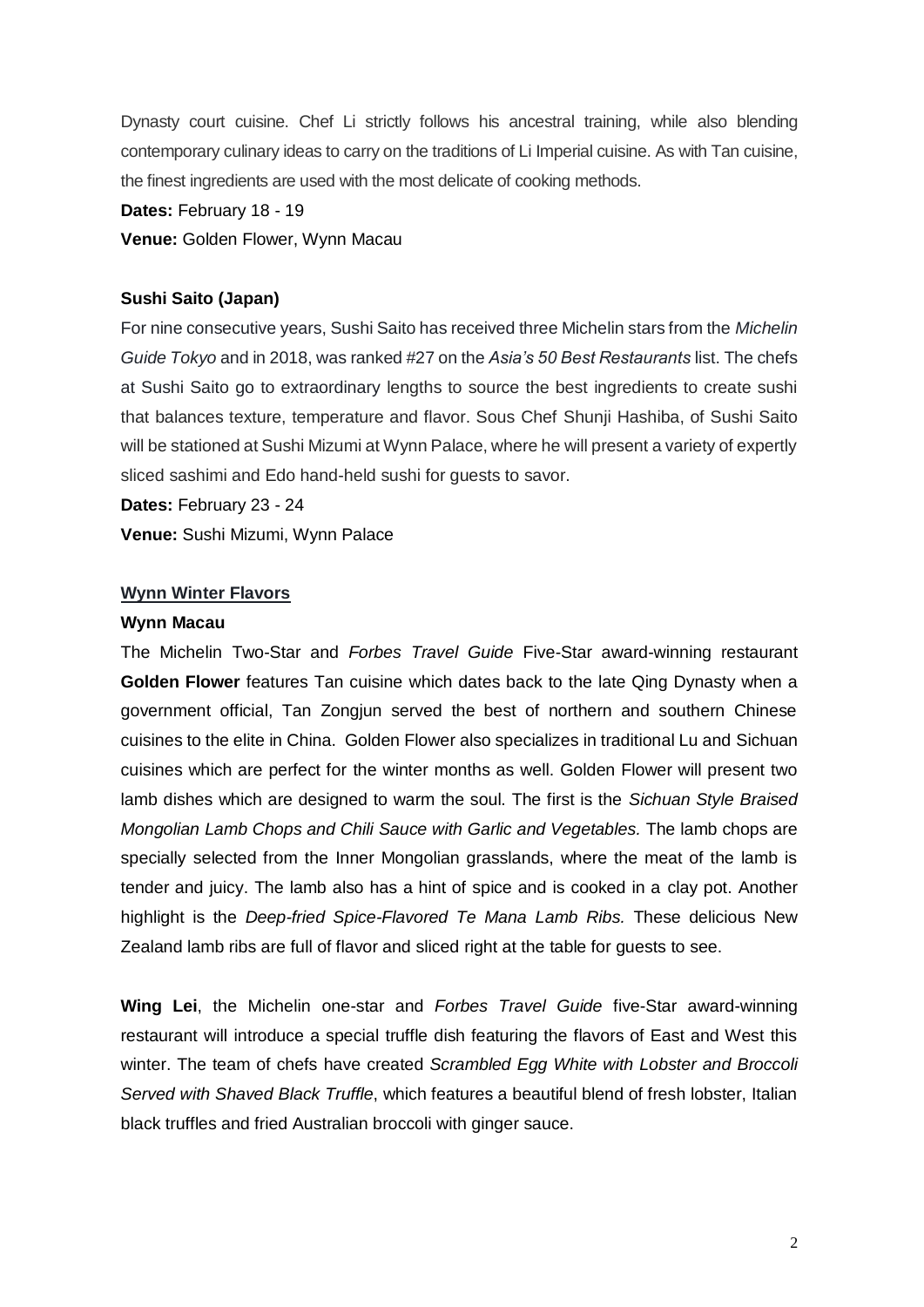Dynasty court cuisine. Chef Li strictly follows his ancestral training, while also blending contemporary culinary ideas to carry on the traditions of Li Imperial cuisine. As with Tan cuisine, the finest ingredients are used with the most delicate of cooking methods.

#### **Dates:** February 18 - 19

#### **Venue:** Golden Flower, Wynn Macau

#### **Sushi Saito (Japan)**

For nine consecutive years, Sushi Saito has received three Michelin stars from the *Michelin Guide Tokyo* and in 2018, was ranked #27 on the *Asia's 50 Best Restaurants* list. The chefs at Sushi Saito go to extraordinary lengths to source the best ingredients to create sushi that balances texture, temperature and flavor. Sous Chef Shunji Hashiba, of Sushi Saito will be stationed at Sushi Mizumi at Wynn Palace, where he will present a variety of expertly sliced sashimi and Edo hand-held sushi for guests to savor.

**Dates:** February 23 - 24

**Venue:** Sushi Mizumi, Wynn Palace

#### **Wynn Winter Flavors**

#### **Wynn Macau**

The Michelin Two-Star and *Forbes Travel Guide* Five-Star award-winning restaurant **Golden Flower** features Tan cuisine which dates back to the late Qing Dynasty when a government official, Tan Zongjun served the best of northern and southern Chinese cuisines to the elite in China. Golden Flower also specializes in traditional Lu and Sichuan cuisines which are perfect for the winter months as well. Golden Flower will present two lamb dishes which are designed to warm the soul. The first is the *Sichuan Style Braised Mongolian Lamb Chops and Chili Sauce with Garlic and Vegetables.* The lamb chops are specially selected from the Inner Mongolian grasslands, where the meat of the lamb is tender and juicy. The lamb also has a hint of spice and is cooked in a clay pot. Another highlight is the *Deep-fried Spice-Flavored Te Mana Lamb Ribs.* These delicious New Zealand lamb ribs are full of flavor and sliced right at the table for guests to see.

**Wing Lei**, the Michelin one-star and *Forbes Travel Guide* five-Star award-winning restaurant will introduce a special truffle dish featuring the flavors of East and West this winter. The team of chefs have created *Scrambled Egg White with Lobster and Broccoli Served with Shaved Black Truffle*, which features a beautiful blend of fresh lobster, Italian black truffles and fried Australian broccoli with ginger sauce.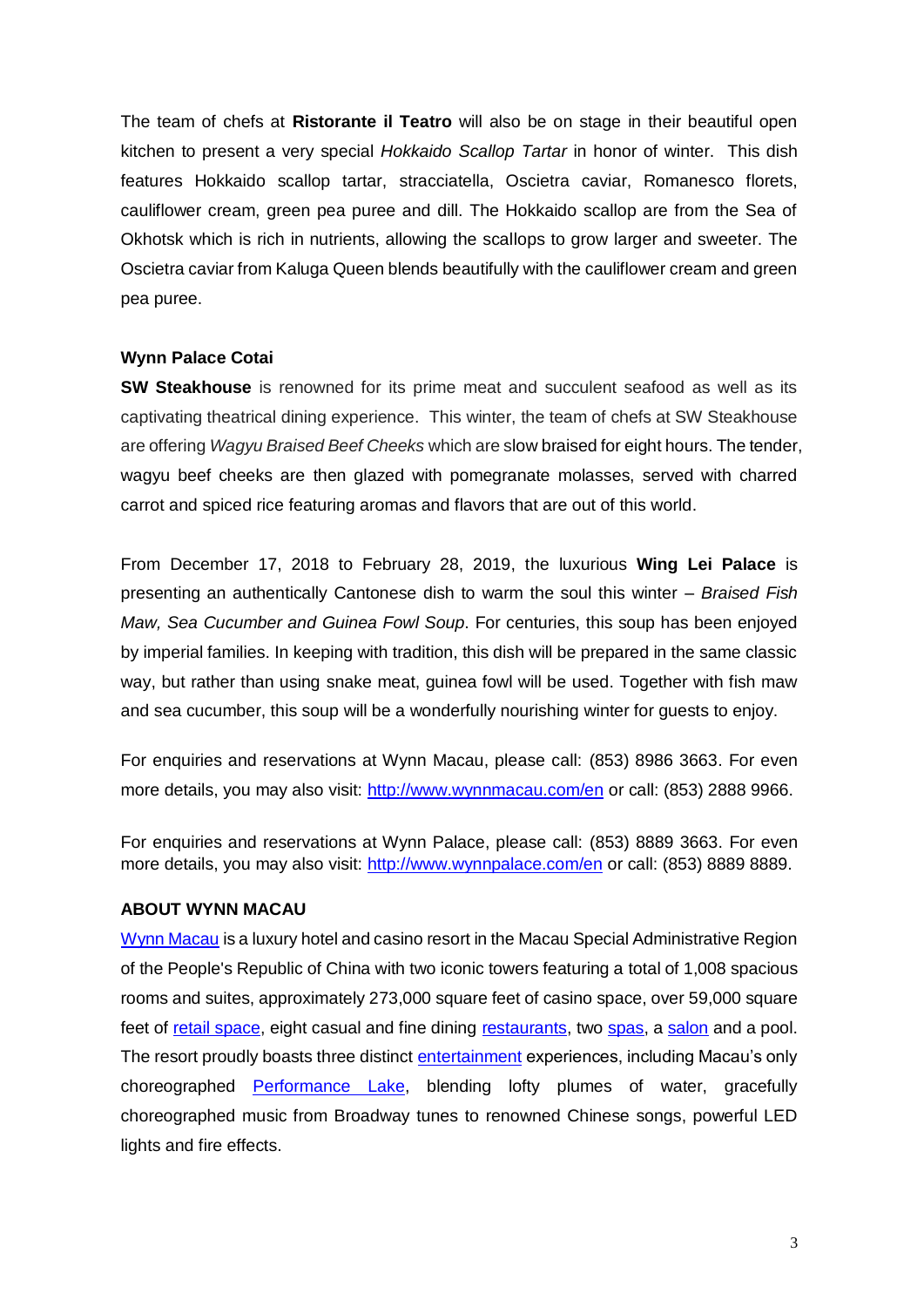The team of chefs at **Ristorante il Teatro** will also be on stage in their beautiful open kitchen to present a very special *Hokkaido Scallop Tartar* in honor of winter. This dish features Hokkaido scallop tartar, stracciatella, Oscietra caviar, Romanesco florets, cauliflower cream, green pea puree and dill. The Hokkaido scallop are from the Sea of Okhotsk which is rich in nutrients, allowing the scallops to grow larger and sweeter. The Oscietra caviar from Kaluga Queen blends beautifully with the cauliflower cream and green pea puree.

#### **Wynn Palace Cotai**

**SW Steakhouse** is renowned for its prime meat and succulent seafood as well as its captivating theatrical dining experience. This winter, the team of chefs at SW Steakhouse are offering *Wagyu Braised Beef Cheeks* which are slow braised for eight hours. The tender, wagyu beef cheeks are then glazed with pomegranate molasses, served with charred carrot and spiced rice featuring aromas and flavors that are out of this world.

From December 17, 2018 to February 28, 2019, the luxurious **Wing Lei Palace** is presenting an authentically Cantonese dish to warm the soul this winter – *Braised Fish Maw, Sea Cucumber and Guinea Fowl Soup*. For centuries, this soup has been enjoyed by imperial families. In keeping with tradition, this dish will be prepared in the same classic way, but rather than using snake meat, guinea fowl will be used. Together with fish maw and sea cucumber, this soup will be a wonderfully nourishing winter for guests to enjoy.

For enquiries and reservations at Wynn Macau, please call: (853) 8986 3663. For even more details, you may also visit:<http://www.wynnmacau.com/en> or call: (853) 2888 9966.

For enquiries and reservations at Wynn Palace, please call: (853) 8889 3663. For even more details, you may also visit:<http://www.wynnpalace.com/en> or call: (853) 8889 8889.

## **ABOUT WYNN MACAU**

[Wynn Macau](http://www.wynnmacau.com/) is a luxury hotel and casino resort in the Macau Special Administrative Region of the People's Republic of China with two iconic towers featuring a total of 1,008 spacious rooms and suites, approximately 273,000 square feet of casino space, over 59,000 square feet of [retail space,](http://www.wynnmacau.com/en/shops) eight casual and fine dining [restaurants,](http://www.wynnmacau.com/en/restaurants-n-bars) two [spas,](http://www.wynnmacau.com/en/facilities-n-spas) a [salon](http://www.wynnmacau.com/en/facilities-n-spas/the-salon) and a pool. The resort proudly boasts three distinct [entertainment](http://www.wynnmacau.com/en/shows) experiences, including Macau's only choreographed [Performance Lake,](http://www.wynnmacau.com/en/shows/performance-lake) blending lofty plumes of water, gracefully choreographed music from Broadway tunes to renowned Chinese songs, powerful LED lights and fire effects.